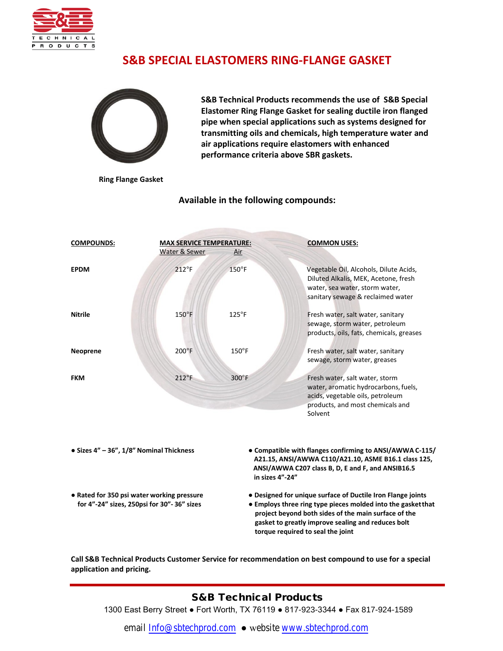

# **S&B SPECIAL ELASTOMERS RING-FLANGE GASKET**



**S&B Technical Products recommends the use of S&B Special Elastomer Ring Flange Gasket for sealing ductile iron flanged pipe when special applications such as systems designed for transmitting oils and chemicals, high temperature water and air applications require elastomers with enhanced performance criteria above SBR gaskets.**

**Ring Flange Gasket**

### **Available in the following compounds:**

| <b>COMPOUNDS:</b>                                                                        | <b>MAX SERVICE TEMPERATURE:</b> |                                                                                                                                                                                          | <b>COMMON USES:</b>                                                                                                                                                                                                                                                            |  |  |
|------------------------------------------------------------------------------------------|---------------------------------|------------------------------------------------------------------------------------------------------------------------------------------------------------------------------------------|--------------------------------------------------------------------------------------------------------------------------------------------------------------------------------------------------------------------------------------------------------------------------------|--|--|
|                                                                                          | Water & Sewer                   | <u>Air</u>                                                                                                                                                                               |                                                                                                                                                                                                                                                                                |  |  |
| <b>EPDM</b>                                                                              | $212^{\circ}$ F                 | $150^{\circ}$ F                                                                                                                                                                          | Vegetable Oil, Alcohols, Dilute Acids,<br>Diluted Alkalis, MEK, Acetone, fresh<br>water, sea water, storm water,<br>sanitary sewage & reclaimed water                                                                                                                          |  |  |
| <b>Nitrile</b>                                                                           | $150^{\circ}$ F                 | $125^{\circ}$ F                                                                                                                                                                          | Fresh water, salt water, sanitary<br>sewage, storm water, petroleum<br>products, oils, fats, chemicals, greases                                                                                                                                                                |  |  |
| <b>Neoprene</b>                                                                          | $200^{\circ}$ F                 | $150^\circ$ F                                                                                                                                                                            | Fresh water, salt water, sanitary<br>sewage, storm water, greases                                                                                                                                                                                                              |  |  |
| <b>FKM</b>                                                                               | $212^{\circ}$ F                 | 300°F                                                                                                                                                                                    | Fresh water, salt water, storm<br>water, aromatic hydrocarbons, fuels,<br>acids, vegetable oils, petroleum<br>products, and most chemicals and<br>Solvent                                                                                                                      |  |  |
| $\bullet$ Sizes 4" - 36", 1/8" Nominal Thickness                                         |                                 | • Compatible with flanges confirming to ANSI/AWWA C-115/<br>A21.15, ANSI/AWWA C110/A21.10, ASME B16.1 class 125,<br>ANSI/AWWA C207 class B, D, E and F, and ANSIB16.5<br>in sizes 4"-24" |                                                                                                                                                                                                                                                                                |  |  |
| • Rated for 350 psi water working pressure<br>for 4"-24" sizes, 250psi for 30"-36" sizes |                                 |                                                                                                                                                                                          | • Designed for unique surface of Ductile Iron Flange joints<br>• Employs three ring type pieces molded into the gasket that<br>project beyond both sides of the main surface of the<br>gasket to greatly improve sealing and reduces bolt<br>torque required to seal the joint |  |  |

**Call S&B Technical Products Customer Service for recommendation on best compound to use for a special application and pricing.**

## S&B Technical Products

1300 East Berry Street ● Fort Worth, TX 76119 ● 817-923-3344 ● Fax 817-924-1589